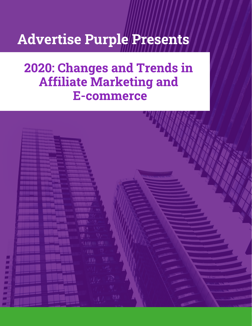# Advertise Purple Presents

## 2020: Changes and Trends in Affiliate Marketing and E-commerce

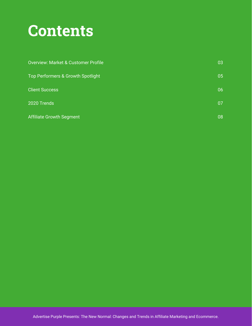# **Contents**

| <b>Overview: Market &amp; Customer Profile</b> | 03 |
|------------------------------------------------|----|
| Top Performers & Growth Spotlight              | 05 |
| <b>Client Success</b>                          | 06 |
| 2020 Trends                                    | 07 |
| <b>Affiliate Growth Segment</b>                | 08 |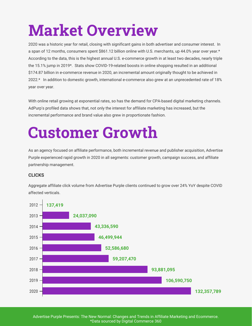# Market Overview

2020 was a historic year for retail, closing with significant gains in both advertiser and consumer interest. In a span of 12 months, consumers spent \$861.12 billion online with U.S. merchants, up 44.0% year over year.\* According to the data, this is the highest annual U.S. e-commerce growth in at least two decades, nearly triple the 15.1% jump in 2019\*. Stats show COVID-19-related boosts in online shopping resulted in an additional \$174.87 billion in e-commerce revenue in 2020, an incremental amount originally thought to be achieved in 2022.\* In addition to domestic growth, international e-commerce also grew at an unprecedented rate of 18% year over year.

With online retail growing at exponential rates, so has the demand for CPA-based digital marketing channels. AdPurp's profiled data shows that, not only the interest for affiliate marketing has increased, but the incremental performance and brand value also grew in proportionate fashion.

# Customer Growth

As an agency focused on affiliate performance, both incremental revenue and publisher acquisition, Advertise Purple experienced rapid growth in 2020 in all segments: customer growth, campaign success, and affiliate partnership management.

### **CLICKS**

Aggregate affiliate click volume from Advertise Purple clients continued to grow over 24% YoY despite COVID affected verticals.



Advertise Purple Presents: The New Normal: Changes and Trends in Affiliate Marketing and Ecommerce. \*Data sourced by Digital Commerce 360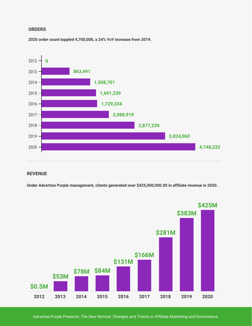#### **ORDERS**

**2020 order count toppled 4,700,000, a 24% YoY increase from 2019.**



#### **REVENUE**

**Under Advertise Purple management, clients generated over \$425,000,000.00 in affiliate revenue in 2020.**



Advertise Purple Presents: The New Normal: Changes and Trends in Affiliate Marketing and Ecommerce.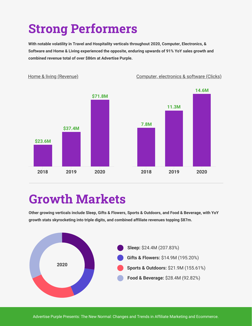## Strong Performers

**With notable volatility in Travel and Hospitality verticals throughout 2020, Computer, Electronics, & Software and Home & Living experienced the opposite, enduring upwards of 91% YoY sales growth and combined revenue total of over \$86m at Advertise Purple.**

Computer, electronics & software (Clicks)



Home & living (Revenue)

## Growth Markets

**Other growing verticals include Sleep, Gifts & Flowers, Sports & Outdoors, and Food & Beverage, with YoY growth stats skyrocketing into triple digits, and combined affiliate revenues topping \$87m.**

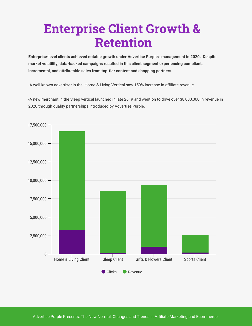## Enterprise Client Growth & Retention

**Enterprise-level clients achieved notable growth under Advertise Purple's management in 2020. Despite market volatility, data-backed campaigns resulted in this client segment experiencing compliant, incremental, and attributable sales from top-tier content and shopping partners.** 

-A well-known advertiser in the Home & Living Vertical saw 159% increase in affiliate revenue

-A new merchant in the Sleep vertical launched in late 2019 and went on to drive over \$8,000,000 in revenue in 2020 through quality partnerships introduced by Advertise Purple.

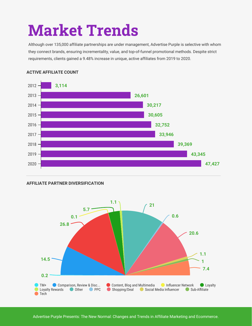# Market Trends

Although over 135,000 affiliate partnerships are under management, Advertise Purple is selective with whom they connect brands, ensuring incrementality, value, and top-of-funnel promotional methods. Despite strict requirements, clients gained a 9.48% increase in unique, active affiliates from 2019 to 2020.



#### **ACTIVE AFFILIATE COUNT**

#### **AFFILIATE PARTNER DIVERSIFICATION**